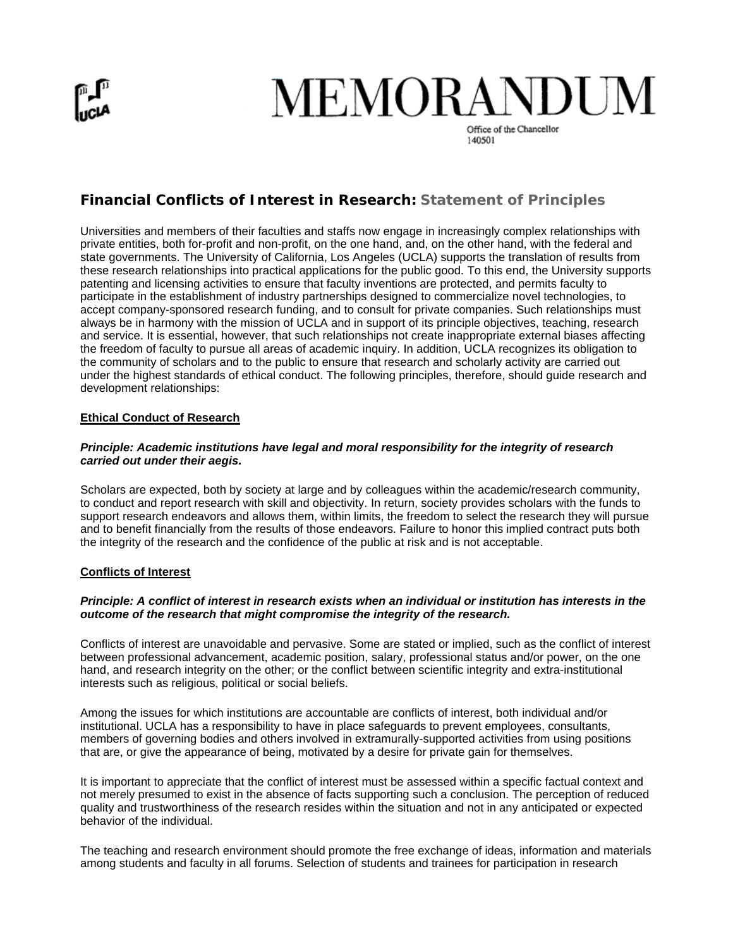# **MEMORANDUM**

Office of the Chancellor 140501

## **Financial Conflicts of Interest in Research: Statement of Principles**

Universities and members of their faculties and staffs now engage in increasingly complex relationships with private entities, both for-profit and non-profit, on the one hand, and, on the other hand, with the federal and state governments. The University of California, Los Angeles (UCLA) supports the translation of results from these research relationships into practical applications for the public good. To this end, the University supports patenting and licensing activities to ensure that faculty inventions are protected, and permits faculty to participate in the establishment of industry partnerships designed to commercialize novel technologies, to accept company-sponsored research funding, and to consult for private companies. Such relationships must always be in harmony with the mission of UCLA and in support of its principle objectives, teaching, research and service. It is essential, however, that such relationships not create inappropriate external biases affecting the freedom of faculty to pursue all areas of academic inquiry. In addition, UCLA recognizes its obligation to the community of scholars and to the public to ensure that research and scholarly activity are carried out under the highest standards of ethical conduct. The following principles, therefore, should guide research and development relationships:

### **Ethical Conduct of Research**

#### *Principle: Academic institutions have legal and moral responsibility for the integrity of research carried out under their aegis.*

Scholars are expected, both by society at large and by colleagues within the academic/research community, to conduct and report research with skill and objectivity. In return, society provides scholars with the funds to support research endeavors and allows them, within limits, the freedom to select the research they will pursue and to benefit financially from the results of those endeavors. Failure to honor this implied contract puts both the integrity of the research and the confidence of the public at risk and is not acceptable.

#### **Conflicts of Interest**

#### *Principle: A conflict of interest in research exists when an individual or institution has interests in the outcome of the research that might compromise the integrity of the research.*

Conflicts of interest are unavoidable and pervasive. Some are stated or implied, such as the conflict of interest between professional advancement, academic position, salary, professional status and/or power, on the one hand, and research integrity on the other; or the conflict between scientific integrity and extra-institutional interests such as religious, political or social beliefs.

Among the issues for which institutions are accountable are conflicts of interest, both individual and/or institutional. UCLA has a responsibility to have in place safeguards to prevent employees, consultants, members of governing bodies and others involved in extramurally-supported activities from using positions that are, or give the appearance of being, motivated by a desire for private gain for themselves.

It is important to appreciate that the conflict of interest must be assessed within a specific factual context and not merely presumed to exist in the absence of facts supporting such a conclusion. The perception of reduced quality and trustworthiness of the research resides within the situation and not in any anticipated or expected behavior of the individual.

The teaching and research environment should promote the free exchange of ideas, information and materials among students and faculty in all forums. Selection of students and trainees for participation in research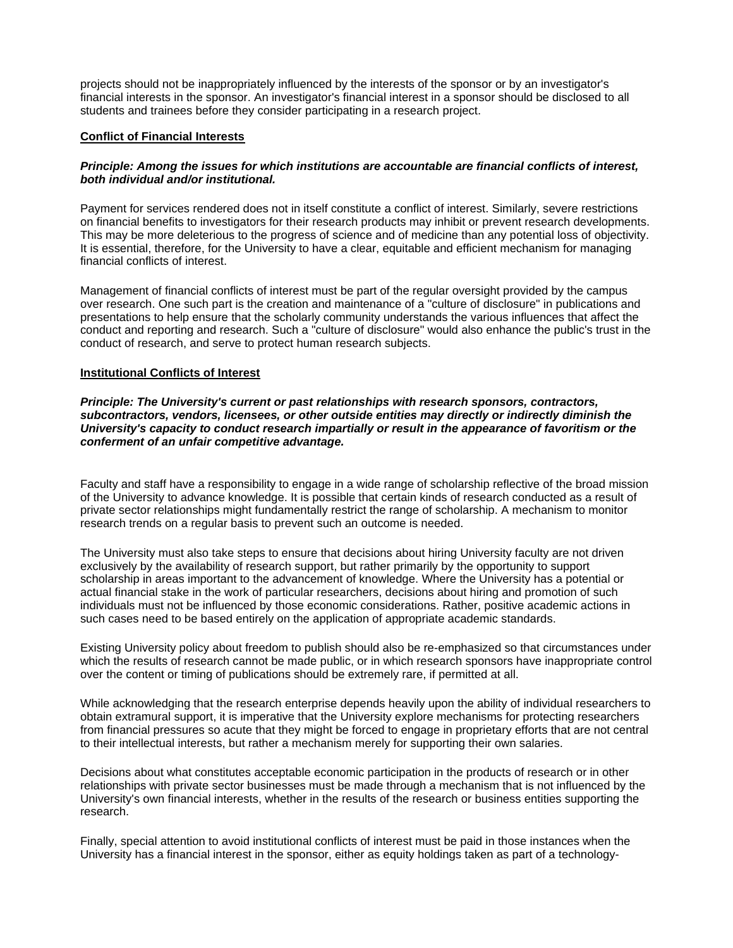projects should not be inappropriately influenced by the interests of the sponsor or by an investigator's financial interests in the sponsor. An investigator's financial interest in a sponsor should be disclosed to all students and trainees before they consider participating in a research project.

#### **Conflict of Financial Interests**

#### *Principle: Among the issues for which institutions are accountable are financial conflicts of interest, both individual and/or institutional.*

Payment for services rendered does not in itself constitute a conflict of interest. Similarly, severe restrictions on financial benefits to investigators for their research products may inhibit or prevent research developments. This may be more deleterious to the progress of science and of medicine than any potential loss of objectivity. It is essential, therefore, for the University to have a clear, equitable and efficient mechanism for managing financial conflicts of interest.

Management of financial conflicts of interest must be part of the regular oversight provided by the campus over research. One such part is the creation and maintenance of a "culture of disclosure" in publications and presentations to help ensure that the scholarly community understands the various influences that affect the conduct and reporting and research. Such a "culture of disclosure" would also enhance the public's trust in the conduct of research, and serve to protect human research subjects.

#### **Institutional Conflicts of Interest**

*Principle: The University's current or past relationships with research sponsors, contractors, subcontractors, vendors, licensees, or other outside entities may directly or indirectly diminish the University's capacity to conduct research impartially or result in the appearance of favoritism or the conferment of an unfair competitive advantage.*

Faculty and staff have a responsibility to engage in a wide range of scholarship reflective of the broad mission of the University to advance knowledge. It is possible that certain kinds of research conducted as a result of private sector relationships might fundamentally restrict the range of scholarship. A mechanism to monitor research trends on a regular basis to prevent such an outcome is needed.

The University must also take steps to ensure that decisions about hiring University faculty are not driven exclusively by the availability of research support, but rather primarily by the opportunity to support scholarship in areas important to the advancement of knowledge. Where the University has a potential or actual financial stake in the work of particular researchers, decisions about hiring and promotion of such individuals must not be influenced by those economic considerations. Rather, positive academic actions in such cases need to be based entirely on the application of appropriate academic standards.

Existing University policy about freedom to publish should also be re-emphasized so that circumstances under which the results of research cannot be made public, or in which research sponsors have inappropriate control over the content or timing of publications should be extremely rare, if permitted at all.

While acknowledging that the research enterprise depends heavily upon the ability of individual researchers to obtain extramural support, it is imperative that the University explore mechanisms for protecting researchers from financial pressures so acute that they might be forced to engage in proprietary efforts that are not central to their intellectual interests, but rather a mechanism merely for supporting their own salaries.

Decisions about what constitutes acceptable economic participation in the products of research or in other relationships with private sector businesses must be made through a mechanism that is not influenced by the University's own financial interests, whether in the results of the research or business entities supporting the research.

Finally, special attention to avoid institutional conflicts of interest must be paid in those instances when the University has a financial interest in the sponsor, either as equity holdings taken as part of a technology